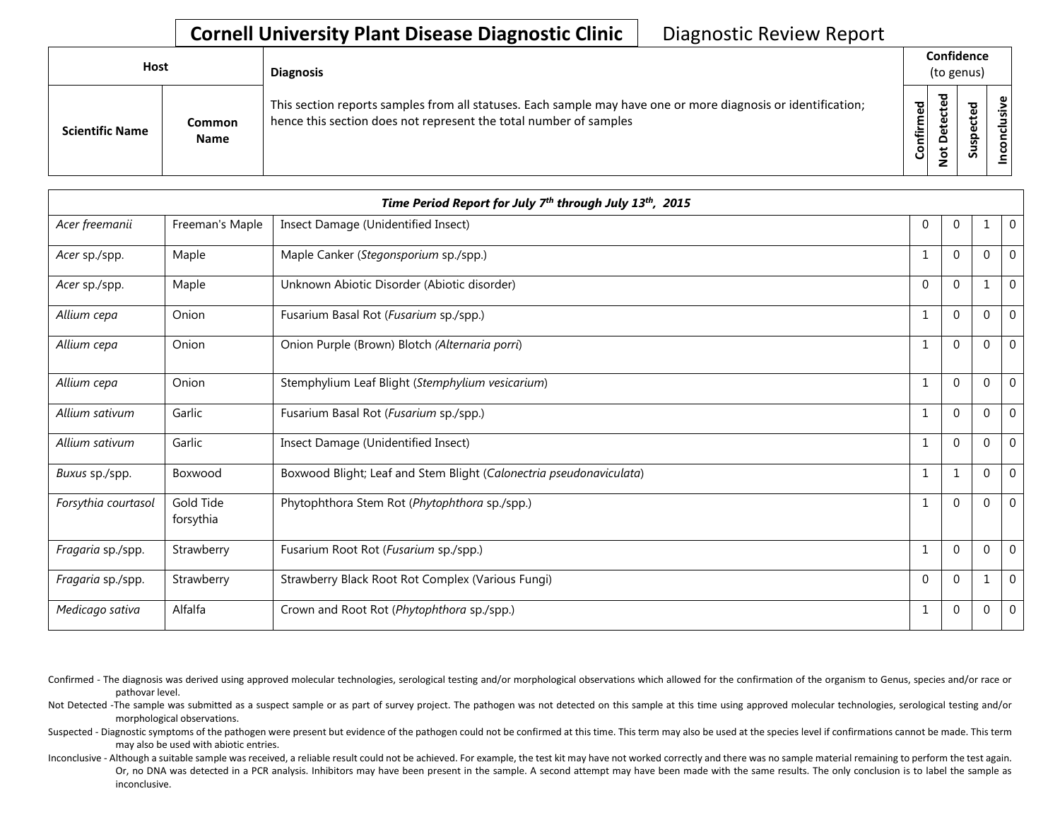## **Cornell University Plant Disease Diagnostic Clinic** | Diagnostic Review Report

| Host                   |                              | <b>Diagnosis</b>                                                                                                                                                                   |           |                                              | Confidence<br>(to genus) |      |
|------------------------|------------------------------|------------------------------------------------------------------------------------------------------------------------------------------------------------------------------------|-----------|----------------------------------------------|--------------------------|------|
| <b>Scientific Name</b> | <b>Common</b><br><b>Name</b> | This section reports samples from all statuses. Each sample may have one or more diagnosis or identification;<br>hence this section does not represent the total number of samples | Confirmed | ъ<br>ن<br>ω<br>ىپ<br>Δ<br>ىد<br>$\circ$<br>- | ▿<br>Ū                   | usiv |

|                     |                        | Time Period Report for July 7th through July 13th, 2015             |              |             |              |                  |
|---------------------|------------------------|---------------------------------------------------------------------|--------------|-------------|--------------|------------------|
| Acer freemanii      | Freeman's Maple        | Insect Damage (Unidentified Insect)                                 | $\mathbf 0$  | $\Omega$    | $\mathbf{1}$ | $\overline{0}$   |
| Acer sp./spp.       | Maple                  | Maple Canker (Stegonsporium sp./spp.)                               | 1            | $\Omega$    | $\Omega$     | $\mathbf 0$      |
| Acer sp./spp.       | Maple                  | Unknown Abiotic Disorder (Abiotic disorder)                         | $\Omega$     | $\Omega$    |              | $\mathbf 0$      |
| Allium cepa         | Onion                  | Fusarium Basal Rot (Fusarium sp./spp.)                              | -1           | $\Omega$    | $\Omega$     | $\mathbf{0}$     |
| Allium cepa         | Onion                  | Onion Purple (Brown) Blotch (Alternaria porri)                      | 1            | $\Omega$    | 0            | $\mathbf 0$      |
| Allium cepa         | Onion                  | Stemphylium Leaf Blight (Stemphylium vesicarium)                    |              | $\Omega$    | $\Omega$     | $\mathbf 0$      |
| Allium sativum      | Garlic                 | Fusarium Basal Rot (Fusarium sp./spp.)                              |              | $\Omega$    | $\mathbf{0}$ | $\boldsymbol{0}$ |
| Allium sativum      | Garlic                 | Insect Damage (Unidentified Insect)                                 | 1            | $\Omega$    | $\Omega$     | $\mathbf 0$      |
| Buxus sp./spp.      | Boxwood                | Boxwood Blight; Leaf and Stem Blight (Calonectria pseudonaviculata) | 1            | 1           | $\Omega$     | $\mathbf 0$      |
| Forsythia courtasol | Gold Tide<br>forsythia | Phytophthora Stem Rot (Phytophthora sp./spp.)                       | 1            | $\mathbf 0$ | $\Omega$     | $\mathbf 0$      |
| Fragaria sp./spp.   | Strawberry             | Fusarium Root Rot (Fusarium sp./spp.)                               | 1            | $\Omega$    | $\Omega$     | $\mathbf 0$      |
| Fragaria sp./spp.   | Strawberry             | Strawberry Black Root Rot Complex (Various Fungi)                   | $\mathbf{0}$ | $\mathbf 0$ |              | $\mathbf 0$      |
| Medicago sativa     | Alfalfa                | Crown and Root Rot (Phytophthora sp./spp.)                          | 1            | 0           | 0            | $\mathbf 0$      |

Confirmed - The diagnosis was derived using approved molecular technologies, serological testing and/or morphological observations which allowed for the confirmation of the organism to Genus, species and/or race or pathovar level.

Not Detected -The sample was submitted as a suspect sample or as part of survey project. The pathogen was not detected on this sample at this time using approved molecular technologies, serological testing and/or morphological observations.

Suspected - Diagnostic symptoms of the pathogen were present but evidence of the pathogen could not be confirmed at this time. This term may also be used at the species level if confirmations cannot be made. This term may also be used with abiotic entries.

Inconclusive - Although a suitable sample was received, a reliable result could not be achieved. For example, the test kit may have not worked correctly and there was no sample material remaining to perform the test again. Or, no DNA was detected in a PCR analysis. Inhibitors may have been present in the sample. A second attempt may have been made with the same results. The only conclusion is to label the sample as inconclusive.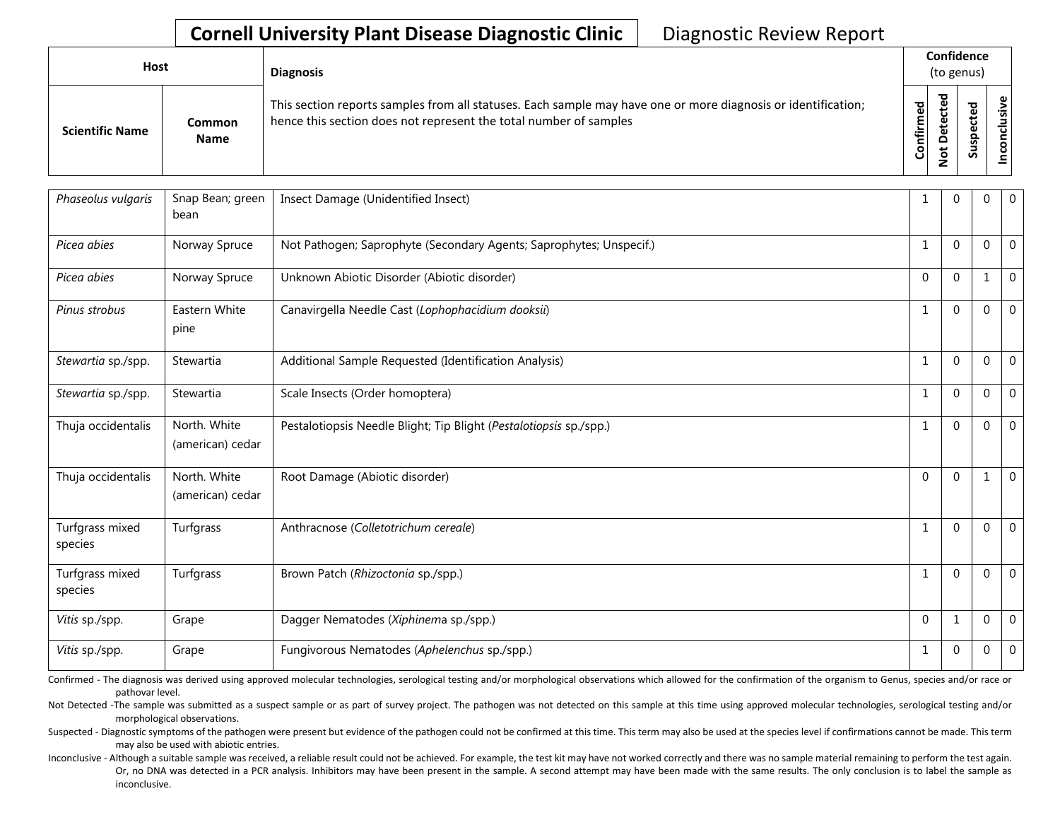## **Cornell University Plant Disease Diagnostic Clinic** | Diagnostic Review Report

| Host                   |                       | <b>Diagnosis</b>                                                                                                                                                                   |                          | Confidence<br>(to genus) |    |           |  |
|------------------------|-----------------------|------------------------------------------------------------------------------------------------------------------------------------------------------------------------------------|--------------------------|--------------------------|----|-----------|--|
| <b>Scientific Name</b> | Common<br><b>Name</b> | This section reports samples from all statuses. Each sample may have one or more diagnosis or identification;<br>hence this section does not represent the total number of samples | 59<br>Ē<br>≞.<br>둘<br>ලි | ъ<br>Φ<br>ى<br>-         | ഄഁ | ω<br>ِ تِ |  |

| Phaseolus vulgaris         | Snap Bean; green<br>bean         | Insect Damage (Unidentified Insect)                                 | 1           | $\Omega$    | 0            | $\mathbf 0$    |
|----------------------------|----------------------------------|---------------------------------------------------------------------|-------------|-------------|--------------|----------------|
| Picea abies                | Norway Spruce                    | Not Pathogen; Saprophyte (Secondary Agents; Saprophytes; Unspecif.) | $\mathbf 1$ | $\Omega$    | 0            | $\mathbf 0$    |
| Picea abies                | Norway Spruce                    | Unknown Abiotic Disorder (Abiotic disorder)                         | $\Omega$    | $\Omega$    | 1            | $\overline{0}$ |
| Pinus strobus              | Eastern White<br>pine            | Canavirgella Needle Cast (Lophophacidium dooksii)                   | 1           | $\Omega$    | 0            | $\mathbf{0}$   |
| Stewartia sp./spp.         | Stewartia                        | Additional Sample Requested (Identification Analysis)               | 1           | $\Omega$    | 0            | $\mathbf{0}$   |
| Stewartia sp./spp.         | Stewartia                        | Scale Insects (Order homoptera)                                     | 1           | $\Omega$    | 0            | $\mathbf 0$    |
| Thuja occidentalis         | North. White<br>(american) cedar | Pestalotiopsis Needle Blight; Tip Blight (Pestalotiopsis sp./spp.)  | 1           | $\Omega$    | $\mathbf{0}$ | $\mathbf 0$    |
| Thuja occidentalis         | North. White<br>(american) cedar | Root Damage (Abiotic disorder)                                      | $\Omega$    | $\mathbf 0$ | 1            | $\mathbf{0}$   |
| Turfgrass mixed<br>species | Turfgrass                        | Anthracnose (Colletotrichum cereale)                                | 1           | $\Omega$    | 0            | $\mathbf{0}$   |
| Turfgrass mixed<br>species | Turfgrass                        | Brown Patch (Rhizoctonia sp./spp.)                                  | 1           | $\Omega$    | 0            | $\mathbf 0$    |
| Vitis sp./spp.             | Grape                            | Dagger Nematodes (Xiphinema sp./spp.)                               | $\Omega$    | 1           | 0            | $\mathbf 0$    |
| Vitis sp./spp.             | Grape                            | Fungivorous Nematodes (Aphelenchus sp./spp.)                        | 1           | $\Omega$    | 0            | $\mathbf 0$    |

Confirmed - The diagnosis was derived using approved molecular technologies, serological testing and/or morphological observations which allowed for the confirmation of the organism to Genus, species and/or race or pathovar level.

Not Detected -The sample was submitted as a suspect sample or as part of survey project. The pathogen was not detected on this sample at this time using approved molecular technologies, serological testing and/or morphological observations.

Suspected - Diagnostic symptoms of the pathogen were present but evidence of the pathogen could not be confirmed at this time. This term may also be used at the species level if confirmations cannot be made. This term may also be used with abiotic entries.

Inconclusive - Although a suitable sample was received, a reliable result could not be achieved. For example, the test kit may have not worked correctly and there was no sample material remaining to perform the test again. Or, no DNA was detected in a PCR analysis. Inhibitors may have been present in the sample. A second attempt may have been made with the same results. The only conclusion is to label the sample as inconclusive.